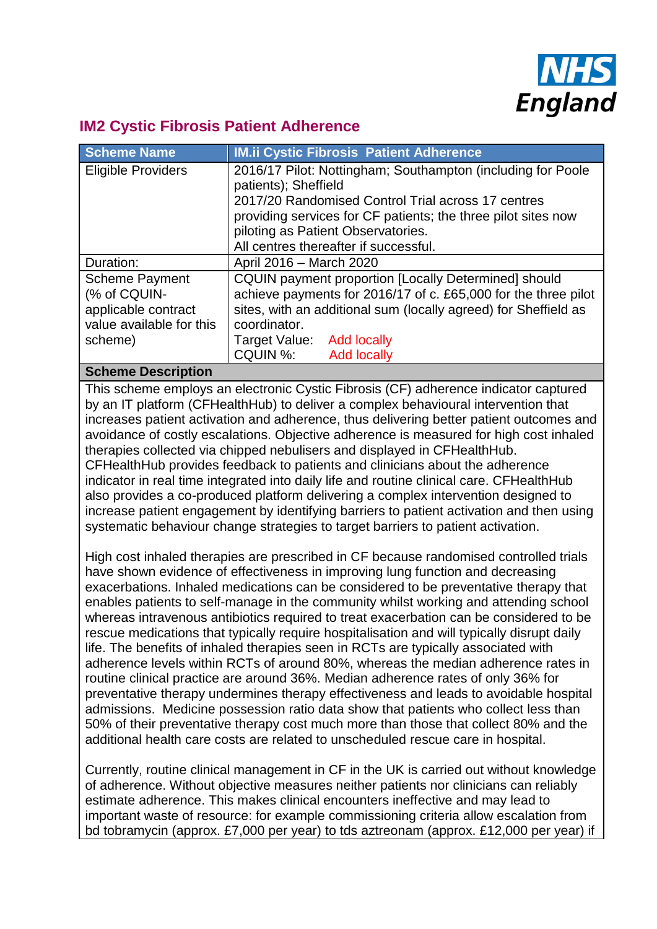

# **IM2 Cystic Fibrosis Patient Adherence**

| <b>Scheme Name</b>                                                                       | <b>IM.ii Cystic Fibrosis Patient Adherence</b>                                                                                                                                                                                                                                            |  |
|------------------------------------------------------------------------------------------|-------------------------------------------------------------------------------------------------------------------------------------------------------------------------------------------------------------------------------------------------------------------------------------------|--|
| <b>Eligible Providers</b>                                                                | 2016/17 Pilot: Nottingham; Southampton (including for Poole<br>patients); Sheffield<br>2017/20 Randomised Control Trial across 17 centres<br>providing services for CF patients; the three pilot sites now<br>piloting as Patient Observatories.<br>All centres thereafter if successful. |  |
| Duration:                                                                                | April 2016 - March 2020                                                                                                                                                                                                                                                                   |  |
| <b>Scheme Payment</b><br>(% of CQUIN-<br>applicable contract<br>value available for this | <b>CQUIN payment proportion [Locally Determined] should</b><br>achieve payments for 2016/17 of c. £65,000 for the three pilot<br>sites, with an additional sum (locally agreed) for Sheffield as<br>coordinator.                                                                          |  |
| scheme)                                                                                  | Target Value: Add locally                                                                                                                                                                                                                                                                 |  |
|                                                                                          | CQUIN %: Add locally                                                                                                                                                                                                                                                                      |  |
| Cahama Degerintian                                                                       |                                                                                                                                                                                                                                                                                           |  |

### **Scheme Description**

This scheme employs an electronic Cystic Fibrosis (CF) adherence indicator captured by an IT platform (CFHealthHub) to deliver a complex behavioural intervention that increases patient activation and adherence, thus delivering better patient outcomes and avoidance of costly escalations. Objective adherence is measured for high cost inhaled therapies collected via chipped nebulisers and displayed in CFHealthHub. CFHealthHub provides feedback to patients and clinicians about the adherence indicator in real time integrated into daily life and routine clinical care. CFHealthHub also provides a co-produced platform delivering a complex intervention designed to increase patient engagement by identifying barriers to patient activation and then using systematic behaviour change strategies to target barriers to patient activation.

High cost inhaled therapies are prescribed in CF because randomised controlled trials have shown evidence of effectiveness in improving lung function and decreasing exacerbations. Inhaled medications can be considered to be preventative therapy that enables patients to self-manage in the community whilst working and attending school whereas intravenous antibiotics required to treat exacerbation can be considered to be rescue medications that typically require hospitalisation and will typically disrupt daily life. The benefits of inhaled therapies seen in RCTs are typically associated with adherence levels within RCTs of around 80%, whereas the median adherence rates in routine clinical practice are around 36%. Median adherence rates of only 36% for preventative therapy undermines therapy effectiveness and leads to avoidable hospital admissions. Medicine possession ratio data show that patients who collect less than 50% of their preventative therapy cost much more than those that collect 80% and the additional health care costs are related to unscheduled rescue care in hospital.

Currently, routine clinical management in CF in the UK is carried out without knowledge of adherence. Without objective measures neither patients nor clinicians can reliably estimate adherence. This makes clinical encounters ineffective and may lead to important waste of resource: for example commissioning criteria allow escalation from bd tobramycin (approx. £7,000 per year) to tds aztreonam (approx. £12,000 per year) if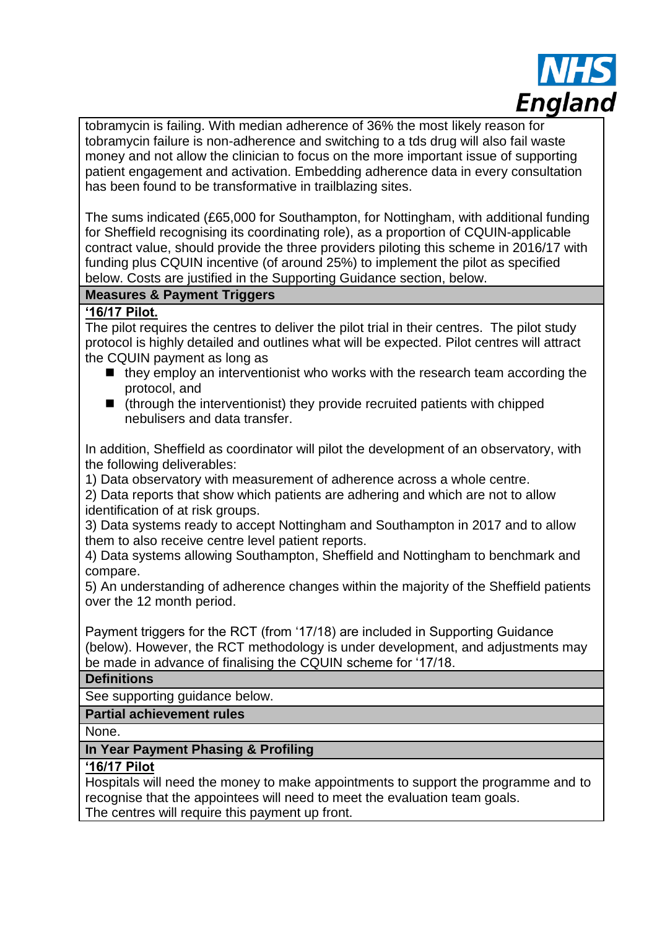

tobramycin is failing. With median adherence of 36% the most likely reason for tobramycin failure is non-adherence and switching to a tds drug will also fail waste money and not allow the clinician to focus on the more important issue of supporting patient engagement and activation. Embedding adherence data in every consultation has been found to be transformative in trailblazing sites.

The sums indicated (£65,000 for Southampton, for Nottingham, with additional funding for Sheffield recognising its coordinating role), as a proportion of CQUIN-applicable contract value, should provide the three providers piloting this scheme in 2016/17 with funding plus CQUIN incentive (of around 25%) to implement the pilot as specified below. Costs are justified in the Supporting Guidance section, below.

## **Measures & Payment Triggers**

### **'16/17 Pilot.**

The pilot requires the centres to deliver the pilot trial in their centres. The pilot study protocol is highly detailed and outlines what will be expected. Pilot centres will attract the CQUIN payment as long as

- $\blacksquare$  they employ an interventionist who works with the research team according the protocol, and
- $\blacksquare$  (through the interventionist) they provide recruited patients with chipped nebulisers and data transfer.

In addition, Sheffield as coordinator will pilot the development of an observatory, with the following deliverables:

1) Data observatory with measurement of adherence across a whole centre.

2) Data reports that show which patients are adhering and which are not to allow identification of at risk groups.

3) Data systems ready to accept Nottingham and Southampton in 2017 and to allow them to also receive centre level patient reports.

4) Data systems allowing Southampton, Sheffield and Nottingham to benchmark and compare.

5) An understanding of adherence changes within the majority of the Sheffield patients over the 12 month period.

Payment triggers for the RCT (from '17/18) are included in Supporting Guidance (below). However, the RCT methodology is under development, and adjustments may be made in advance of finalising the CQUIN scheme for '17/18.

### **Definitions**

See supporting guidance below.

### **Partial achievement rules**

None.

### **In Year Payment Phasing & Profiling**

# **'16/17 Pilot**

Hospitals will need the money to make appointments to support the programme and to recognise that the appointees will need to meet the evaluation team goals. The centres will require this payment up front.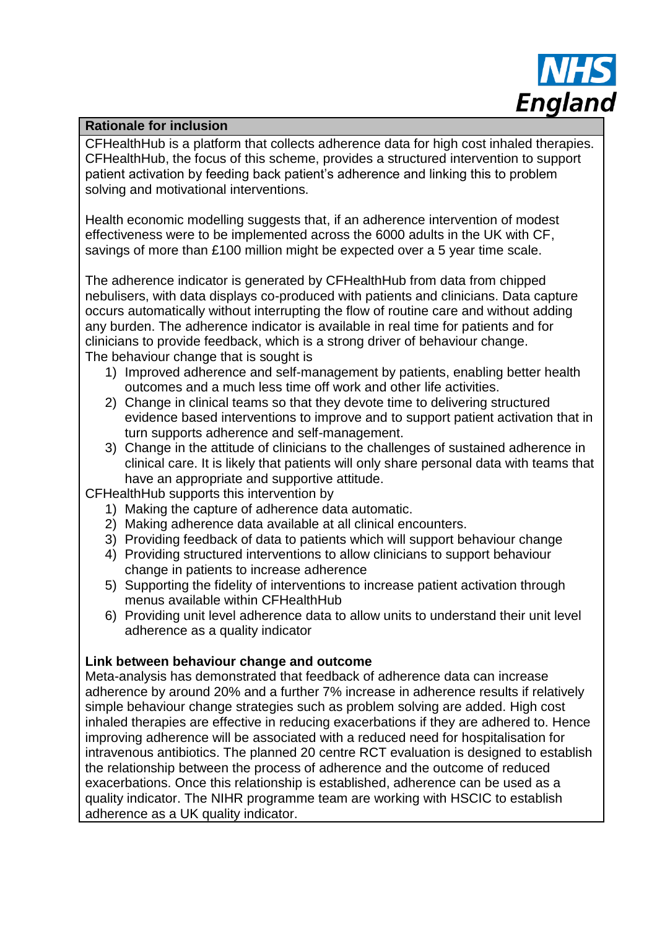

#### **Rationale for inclusion**

CFHealthHub is a platform that collects adherence data for high cost inhaled therapies. CFHealthHub, the focus of this scheme, provides a structured intervention to support patient activation by feeding back patient's adherence and linking this to problem solving and motivational interventions.

Health economic modelling suggests that, if an adherence intervention of modest effectiveness were to be implemented across the 6000 adults in the UK with CF, savings of more than £100 million might be expected over a 5 year time scale.

The adherence indicator is generated by CFHealthHub from data from chipped nebulisers, with data displays co-produced with patients and clinicians. Data capture occurs automatically without interrupting the flow of routine care and without adding any burden. The adherence indicator is available in real time for patients and for clinicians to provide feedback, which is a strong driver of behaviour change. The behaviour change that is sought is

- 1) Improved adherence and self-management by patients, enabling better health outcomes and a much less time off work and other life activities.
- 2) Change in clinical teams so that they devote time to delivering structured evidence based interventions to improve and to support patient activation that in turn supports adherence and self-management.
- 3) Change in the attitude of clinicians to the challenges of sustained adherence in clinical care. It is likely that patients will only share personal data with teams that have an appropriate and supportive attitude.

CFHealthHub supports this intervention by

- 1) Making the capture of adherence data automatic.
- 2) Making adherence data available at all clinical encounters.
- 3) Providing feedback of data to patients which will support behaviour change
- 4) Providing structured interventions to allow clinicians to support behaviour change in patients to increase adherence
- 5) Supporting the fidelity of interventions to increase patient activation through menus available within CFHealthHub
- 6) Providing unit level adherence data to allow units to understand their unit level adherence as a quality indicator

### **Link between behaviour change and outcome**

Meta-analysis has demonstrated that feedback of adherence data can increase adherence by around 20% and a further 7% increase in adherence results if relatively simple behaviour change strategies such as problem solving are added. High cost inhaled therapies are effective in reducing exacerbations if they are adhered to. Hence improving adherence will be associated with a reduced need for hospitalisation for intravenous antibiotics. The planned 20 centre RCT evaluation is designed to establish the relationship between the process of adherence and the outcome of reduced exacerbations. Once this relationship is established, adherence can be used as a quality indicator. The NIHR programme team are working with HSCIC to establish adherence as a UK quality indicator.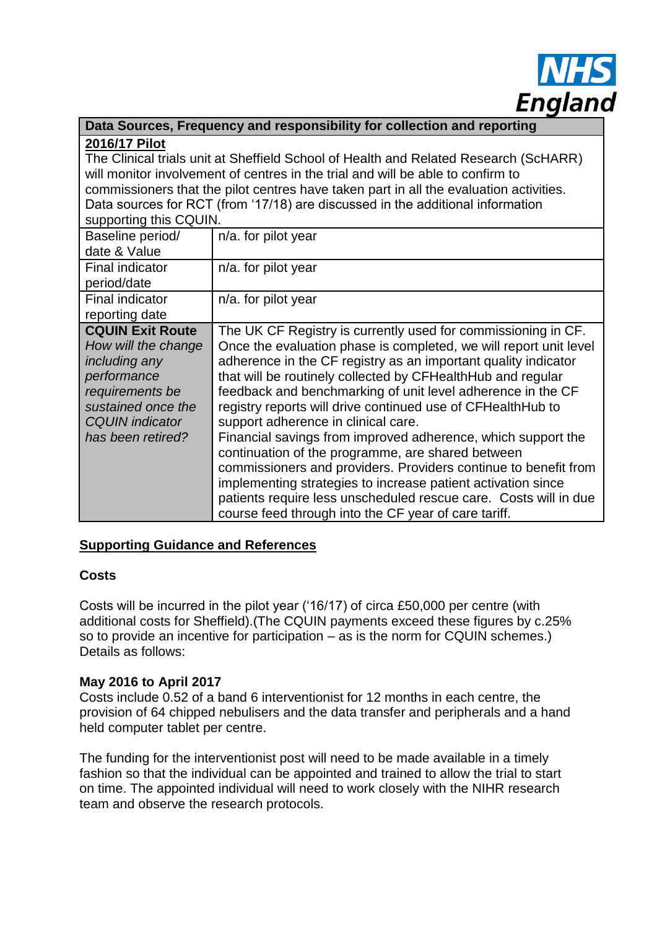

|               | Data Sources, Frequency and responsibility for collection and reporting |
|---------------|-------------------------------------------------------------------------|
| 2016/17 Pilot |                                                                         |

The Clinical trials unit at Sheffield School of Health and Related Research (ScHARR) will monitor involvement of centres in the trial and will be able to confirm to commissioners that the pilot centres have taken part in all the evaluation activities. Data sources for RCT (from '17/18) are discussed in the additional information supporting this COUIN.

| Supporting this GQUIN.           |                                                                   |  |
|----------------------------------|-------------------------------------------------------------------|--|
| Baseline period/<br>date & Value | n/a. for pilot year                                               |  |
|                                  |                                                                   |  |
| Final indicator                  | n/a. for pilot year                                               |  |
| period/date                      |                                                                   |  |
| Final indicator                  | n/a. for pilot year                                               |  |
| reporting date                   |                                                                   |  |
| <b>CQUIN Exit Route</b>          | The UK CF Registry is currently used for commissioning in CF.     |  |
| How will the change              | Once the evaluation phase is completed, we will report unit level |  |
| including any                    | adherence in the CF registry as an important quality indicator    |  |
| performance                      | that will be routinely collected by CFHealthHub and regular       |  |
| requirements be                  | feedback and benchmarking of unit level adherence in the CF       |  |
| sustained once the               | registry reports will drive continued use of CFHealthHub to       |  |
| <b>CQUIN</b> indicator           | support adherence in clinical care.                               |  |
| has been retired?                | Financial savings from improved adherence, which support the      |  |
|                                  | continuation of the programme, are shared between                 |  |
|                                  | commissioners and providers. Providers continue to benefit from   |  |
|                                  | implementing strategies to increase patient activation since      |  |
|                                  | patients require less unscheduled rescue care. Costs will in due  |  |
|                                  | course feed through into the CF year of care tariff.              |  |

### **Supporting Guidance and References**

### **Costs**

Costs will be incurred in the pilot year ('16/17) of circa £50,000 per centre (with additional costs for Sheffield).(The CQUIN payments exceed these figures by c.25% so to provide an incentive for participation – as is the norm for CQUIN schemes.) Details as follows:

### **May 2016 to April 2017**

Costs include 0.52 of a band 6 interventionist for 12 months in each centre, the provision of 64 chipped nebulisers and the data transfer and peripherals and a hand held computer tablet per centre.

The funding for the interventionist post will need to be made available in a timely fashion so that the individual can be appointed and trained to allow the trial to start on time. The appointed individual will need to work closely with the NIHR research team and observe the research protocols.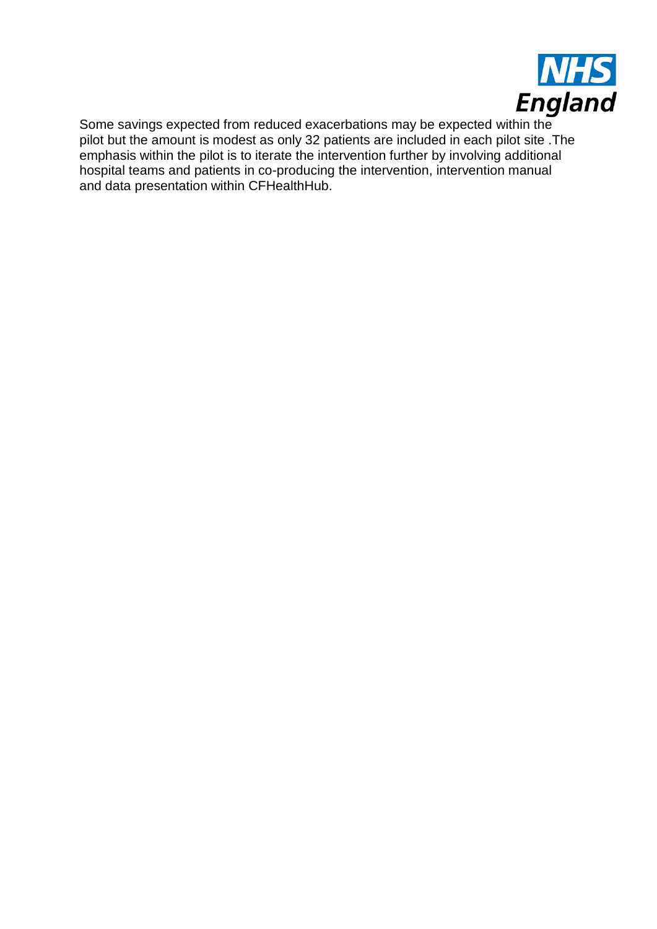

Some savings expected from reduced exacerbations may be expected within the pilot but the amount is modest as only 32 patients are included in each pilot site .The emphasis within the pilot is to iterate the intervention further by involving additional hospital teams and patients in co-producing the intervention, intervention manual and data presentation within CFHealthHub.